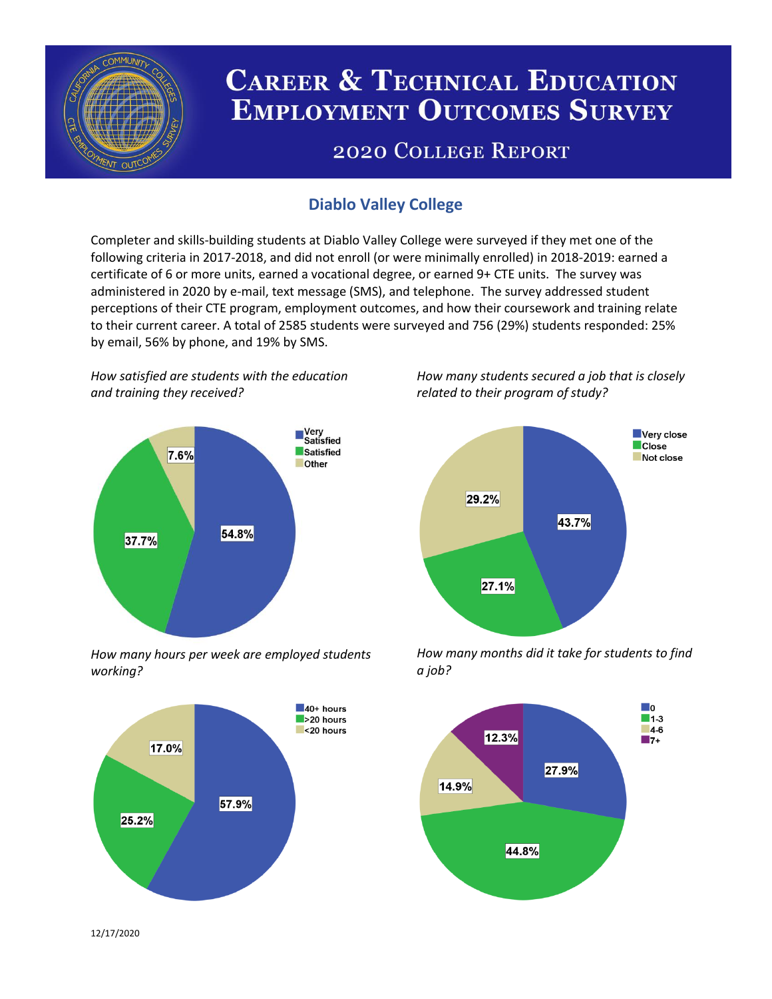

# **CAREER & TECHNICAL EDUCATION EMPLOYMENT OUTCOMES SURVEY**

## **2020 COLLEGE REPORT**

### **Diablo Valley College**

Completer and skills-building students at Diablo Valley College were surveyed if they met one of the following criteria in 2017-2018, and did not enroll (or were minimally enrolled) in 2018-2019: earned a certificate of 6 or more units, earned a vocational degree, or earned 9+ CTE units. The survey was administered in 2020 by e-mail, text message (SMS), and telephone. The survey addressed student perceptions of their CTE program, employment outcomes, and how their coursework and training relate to their current career. A total of 2585 students were surveyed and 756 (29%) students responded: 25% by email, 56% by phone, and 19% by SMS.

*How satisfied are students with the education and training they received?*



*How many hours per week are employed students working?*



*How many students secured a job that is closely related to their program of study?*



*How many months did it take for students to find a job?*



12/17/2020